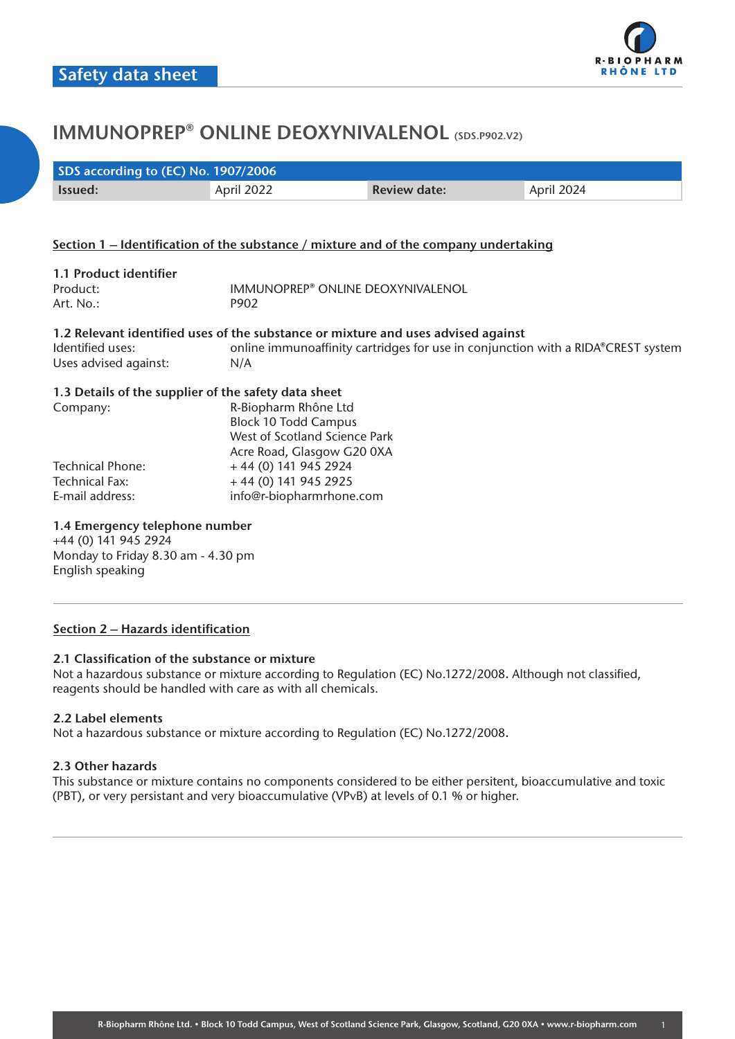

| SDS according to (EC) No. 1907/2006 |            |                     |            |
|-------------------------------------|------------|---------------------|------------|
| Issued:                             | April 2022 | <b>Review date:</b> | April 2024 |

### **Section 1 – Identification of the substance / mixture and of the company undertaking**

| 1.1 Product identifier |                                                                                   |
|------------------------|-----------------------------------------------------------------------------------|
| Product:               | IMMUNOPREP® ONLINE DEOXYNIVALENOL                                                 |
| Art. No.:              | P902                                                                              |
|                        | 1.2 Relevant identified uses of the substance or mixture and uses advised against |
| Identified uses:       | online immunoaffinity cartridges for use in conjunction with a RIDA®CREST system  |
| Uses advised against:  | N/A                                                                               |

| 1.3 Details of the supplier of the safety data sheet |
|------------------------------------------------------|
| R-Biopharm Rhône Ltd                                 |
| <b>Block 10 Todd Campus</b>                          |
| West of Scotland Science Park                        |
| Acre Road, Glasgow G20 0XA                           |
| +44 (0) 141 945 2924                                 |
| +44 (0) 141 945 2925                                 |
| info@r-biopharmrhone.com                             |
|                                                      |

# **1.4 Emergency telephone number**

+44 (0) 141 945 2924 Monday to Friday 8.30 am - 4.30 pm English speaking

# **Section 2 – Hazards identification**

### **2.1 Classification of the substance or mixture**

Not a hazardous substance or mixture according to Regulation (EC) No.1272/2008**.** Although not classified, reagents should be handled with care as with all chemicals.

#### **2.2 Label elements**

Not a hazardous substance or mixture according to Regulation (EC) No.1272/2008**.**

# **2.3 Other hazards**

This substance or mixture contains no components considered to be either persitent, bioaccumulative and toxic (PBT), or very persistant and very bioaccumulative (VPvB) at levels of 0.1 % or higher.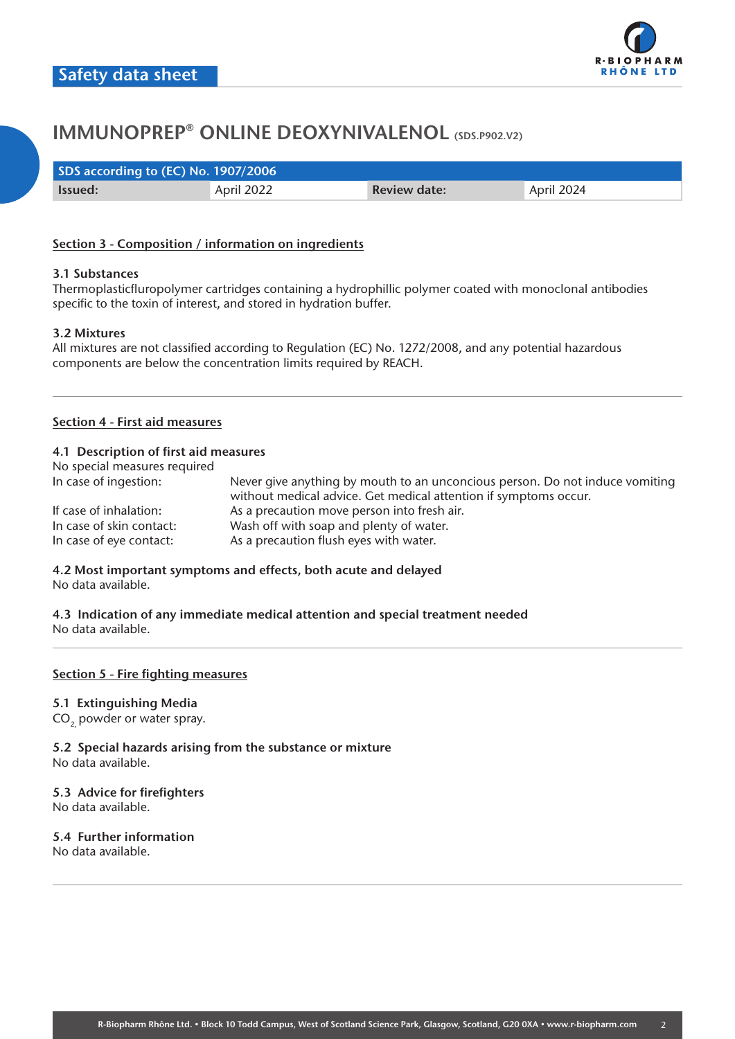

| SDS according to (EC) No. 1907/2006 |            |                     |            |
|-------------------------------------|------------|---------------------|------------|
| Issued:                             | April 2022 | <b>Review date:</b> | April 2024 |

# **Section 3 - Composition / information on ingredients**

#### **3.1 Substances**

Thermoplasticfluropolymer cartridges containing a hydrophillic polymer coated with monoclonal antibodies specific to the toxin of interest, and stored in hydration buffer.

#### **3.2 Mixtures**

All mixtures are not classified according to Regulation (EC) No. 1272/2008, and any potential hazardous components are below the concentration limits required by REACH.

#### **Section 4 - First aid measures**

#### **4.1 Description of first aid measures**

No special measures required In case of ingestion: Never give anything by mouth to an unconcious person. Do not induce vomiting without medical advice. Get medical attention if symptoms occur. If case of inhalation: As a precaution move person into fresh air. In case of skin contact: Wash off with soap and plenty of water. In case of eye contact: As a precaution flush eyes with water.

# **4.2 Most important symptoms and effects, both acute and delayed**

No data available.

#### **4.3 Indication of any immediate medical attention and special treatment needed** No data available.

#### **Section 5 - Fire fighting measures**

#### **5.1 Extinguishing Media**

CO<sub>2</sub> powder or water spray.

**5.2 Special hazards arising from the substance or mixture** No data available.

#### **5.3 Advice for firefighters**

No data available.

### **5.4 Further information**

No data available.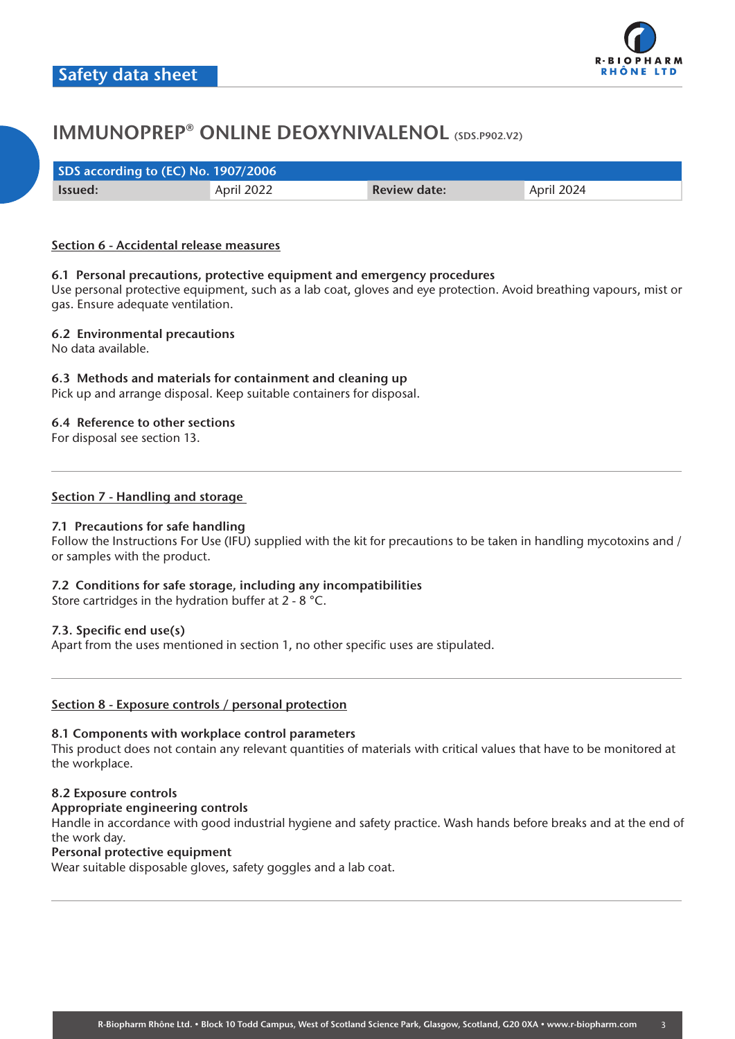

| SDS according to (EC) No. 1907/2006 |            |                     |            |
|-------------------------------------|------------|---------------------|------------|
| lssued:                             | April 2022 | <b>Review date:</b> | April 2024 |

# **Section 6 - Accidental release measures**

### **6.1 Personal precautions, protective equipment and emergency procedures**

Use personal protective equipment, such as a lab coat, gloves and eye protection. Avoid breathing vapours, mist or gas. Ensure adequate ventilation.

#### **6.2 Environmental precautions**

No data available.

# **6.3 Methods and materials for containment and cleaning up**

Pick up and arrange disposal. Keep suitable containers for disposal.

### **6.4 Reference to other sections**

For disposal see section 13.

### **Section 7 - Handling and storage**

#### **7.1 Precautions for safe handling**

Follow the Instructions For Use (IFU) supplied with the kit for precautions to be taken in handling mycotoxins and / or samples with the product.

# **7.2 Conditions for safe storage, including any incompatibilities**

Store cartridges in the hydration buffer at 2 - 8 °C.

#### **7.3. Specific end use(s)**

Apart from the uses mentioned in section 1, no other specific uses are stipulated.

#### **Section 8 - Exposure controls / personal protection**

#### **8.1 Components with workplace control parameters**

This product does not contain any relevant quantities of materials with critical values that have to be monitored at the workplace.

#### **8.2 Exposure controls**

### **Appropriate engineering controls**

Handle in accordance with good industrial hygiene and safety practice. Wash hands before breaks and at the end of the work day.

#### **Personal protective equipment**

Wear suitable disposable gloves, safety goggles and a lab coat.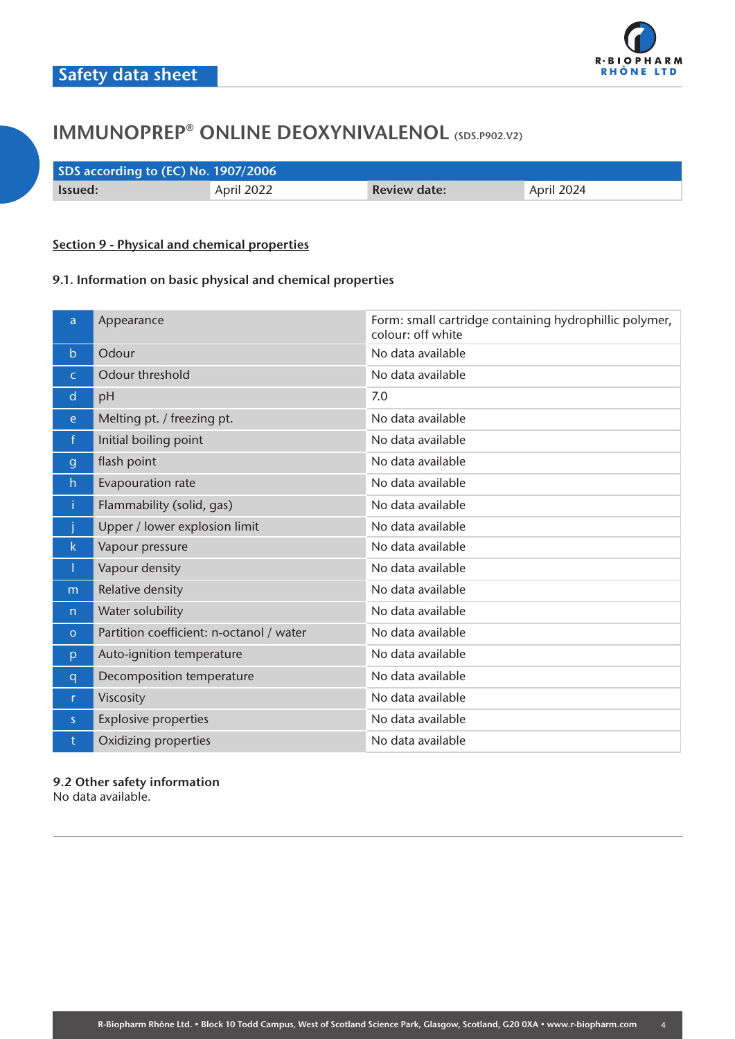

| SDS according to (EC) No. 1907/2006 |            |                     |            |
|-------------------------------------|------------|---------------------|------------|
| lssued:                             | April 2022 | <b>Review date:</b> | April 2024 |

# **Section 9 - Physical and chemical properties**

# **9.1. Information on basic physical and chemical properties**

| a            | Appearance                               | Form: small cartridge containing hydrophillic polymer,<br>colour: off white |
|--------------|------------------------------------------|-----------------------------------------------------------------------------|
| $\mathsf{b}$ | Odour                                    | No data available                                                           |
| $\mathsf{C}$ | Odour threshold                          | No data available                                                           |
| d            | pH                                       | 7.0                                                                         |
| e            | Melting pt. / freezing pt.               | No data available                                                           |
| $\mathsf{f}$ | Initial boiling point                    | No data available                                                           |
| $\mathbf{g}$ | flash point                              | No data available                                                           |
| h            | Evapouration rate                        | No data available                                                           |
| Ť            | Flammability (solid, gas)                | No data available                                                           |
|              | Upper / lower explosion limit            | No data available                                                           |
| $\mathsf{k}$ | Vapour pressure                          | No data available                                                           |
|              | Vapour density                           | No data available                                                           |
| m.           | <b>Relative density</b>                  | No data available                                                           |
| n            | Water solubility                         | No data available                                                           |
| $\circ$      | Partition coefficient: n-octanol / water | No data available                                                           |
| p            | Auto-ignition temperature                | No data available                                                           |
| q            | Decomposition temperature                | No data available                                                           |
| $\mathsf{r}$ | Viscosity                                | No data available                                                           |
| S            | <b>Explosive properties</b>              | No data available                                                           |
| t            | Oxidizing properties                     | No data available                                                           |

# **9.2 Other safety information**

No data available.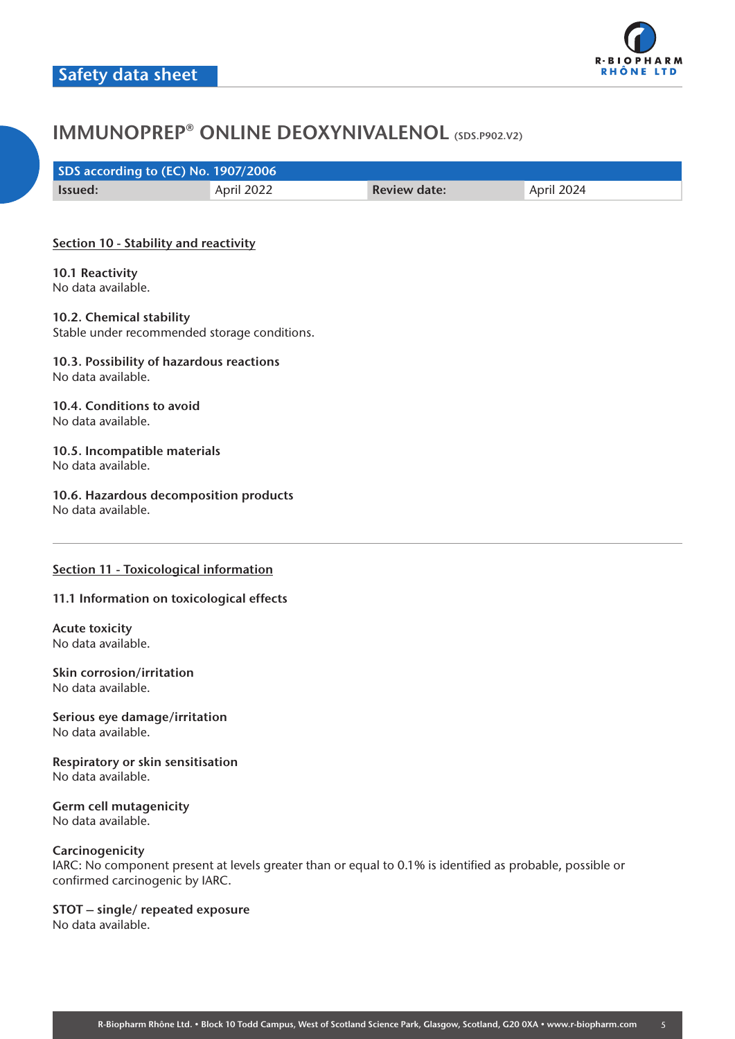

| SDS according to (EC) No. 1907/2006 |            |                     |            |
|-------------------------------------|------------|---------------------|------------|
| <b>Issued:</b>                      | April 2022 | <b>Review date:</b> | April 2024 |

# **Section 10 - Stability and reactivity**

**10.1 Reactivity** No data available.

**10.2. Chemical stability** Stable under recommended storage conditions.

# **10.3. Possibility of hazardous reactions** No data available.

### **10.4. Conditions to avoid** No data available.

**10.5. Incompatible materials** No data available.

**10.6. Hazardous decomposition products** No data available.

# **Section 11 - Toxicological information**

#### **11.1 Information on toxicological effects**

**Acute toxicity** No data available.

**Skin corrosion/irritation** No data available.

**Serious eye damage/irritation** No data available.

**Respiratory or skin sensitisation** No data available.

**Germ cell mutagenicity** No data available.

#### **Carcinogenicity**

IARC: No component present at levels greater than or equal to 0.1% is identified as probable, possible or confirmed carcinogenic by IARC.

**STOT – single/ repeated exposure** No data available.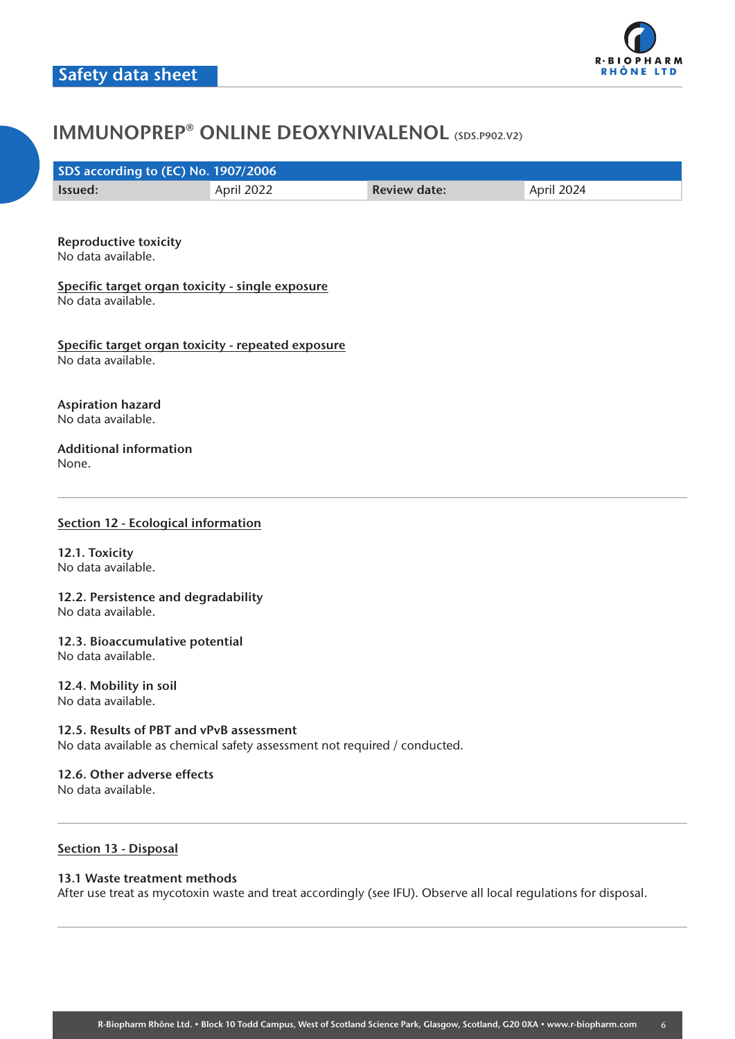

| SDS according to (EC) No. 1907/2006 |            |                     |            |
|-------------------------------------|------------|---------------------|------------|
| <b>Issued:</b>                      | April 2022 | <b>Review date:</b> | April 2024 |

**Reproductive toxicity** No data available.

**Specific target organ toxicity - single exposure** No data available.

**Specific target organ toxicity - repeated exposure** No data available.

**Aspiration hazard** No data available.

#### **Additional information** None.

# **Section 12 - Ecological information**

**12.1. Toxicity** No data available.

**12.2. Persistence and degradability** No data available.

**12.3. Bioaccumulative potential** No data available.

**12.4. Mobility in soil** No data available.

**12.5. Results of PBT and vPvB assessment** No data available as chemical safety assessment not required / conducted.

# **12.6. Other adverse effects**

No data available.

# **Section 13 - Disposal**

#### **13.1 Waste treatment methods**

After use treat as mycotoxin waste and treat accordingly (see IFU). Observe all local regulations for disposal.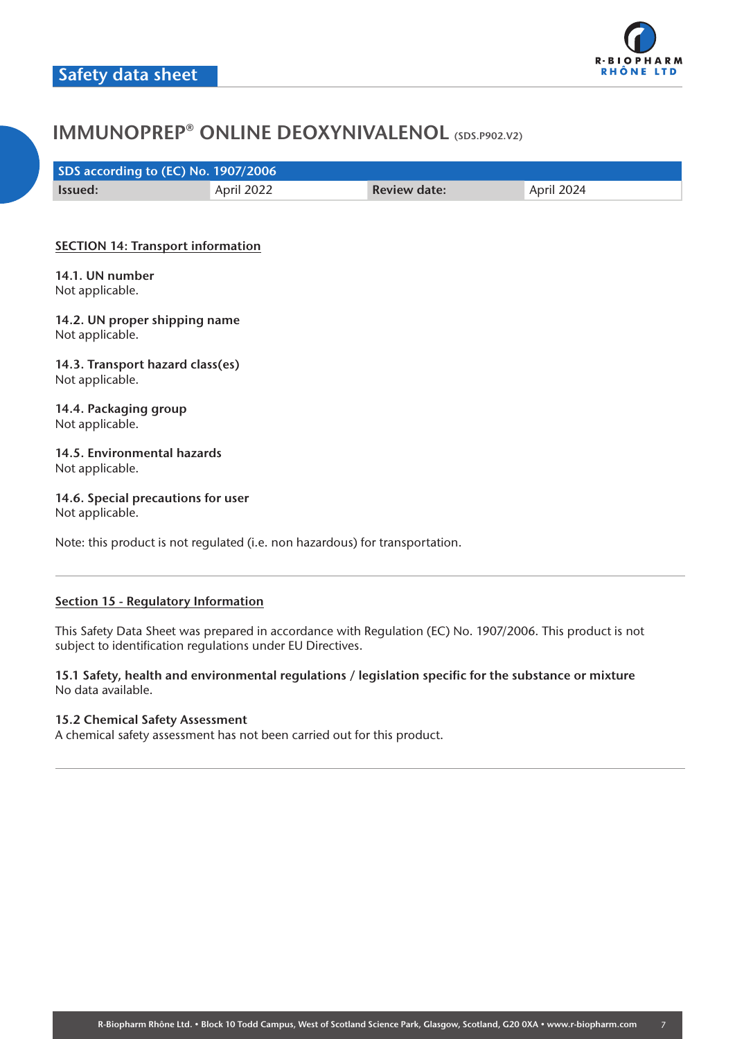

| SDS according to (EC) No. 1907/2006 |            |                     |            |
|-------------------------------------|------------|---------------------|------------|
| lssued:                             | April 2022 | <b>Review date:</b> | April 2024 |

# **SECTION 14: Transport information**

**14.1. UN number** Not applicable.

**14.2. UN proper shipping name** Not applicable.

**14.3. Transport hazard class(es)** Not applicable.

**14.4. Packaging group** Not applicable.

**14.5. Environmental hazards** Not applicable.

**14.6. Special precautions for user** Not applicable.

Note: this product is not regulated (i.e. non hazardous) for transportation.

#### **Section 15 - Regulatory Information**

This Safety Data Sheet was prepared in accordance with Regulation (EC) No. 1907/2006. This product is not subject to identification regulations under EU Directives.

**15.1 Safety, health and environmental regulations / legislation specific for the substance or mixture** No data available.

#### **15.2 Chemical Safety Assessment**

A chemical safety assessment has not been carried out for this product.